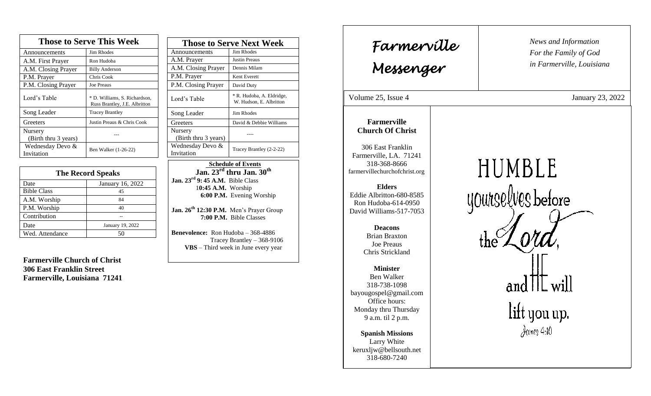| <b>Those to Serve This Week</b> |                                                                |  |
|---------------------------------|----------------------------------------------------------------|--|
| Announcements                   | <b>Jim Rhodes</b>                                              |  |
| A.M. First Prayer               | Ron Hudoba                                                     |  |
| A.M. Closing Prayer             | <b>Billy Anderson</b>                                          |  |
| P.M. Prayer                     | Chris Cook                                                     |  |
| P.M. Closing Prayer             | <b>Joe Preaus</b>                                              |  |
| Lord's Table                    | * D. Williams, S. Richardson,<br>Russ Brantley, J.E. Albritton |  |
| Song Leader                     | <b>Tracey Brantley</b>                                         |  |
| Greeters                        | Justin Preaus & Chris Cook                                     |  |
| Nursery<br>(Birth thru 3 years) |                                                                |  |
| Wednesday Devo &<br>Invitation  | Ben Walker (1-26-22)                                           |  |

| <b>The Record Speaks</b> |                  |
|--------------------------|------------------|
| Date                     | January 16, 2022 |
| <b>Bible Class</b>       | 45               |
| A.M. Worship             | 84               |
| P.M. Worship             | 40               |
| Contribution             |                  |
| Date                     | January 19, 2022 |
| Wed. Attendance          | 50               |

**Farmerville Church of Christ 306 East Franklin Street Farmerville, Louisiana 71241**

| <b>Those to Serve Next Week</b> |                                                      |
|---------------------------------|------------------------------------------------------|
| Announcements                   | Jim Rhodes                                           |
| A.M. Prayer                     | Justin Preaus                                        |
| A.M. Closing Prayer             | Dennis Milam                                         |
| P.M. Prayer                     | Kent Everett                                         |
| P.M. Closing Prayer             | David Duty                                           |
| Lord's Table                    | * R. Hudoba, A. Eldridge,<br>W. Hudson, E. Albritton |
| Song Leader                     | Jim Rhodes                                           |
| Greeters                        | David & Debbie Williams                              |
| Nursery<br>(Birth thru 3 years) |                                                      |
| Wednesday Devo &<br>Invitation  | Tracey Brantley (2-2-22)                             |

 **Schedule of Events Jan. 23rd thru Jan. 30th Jan. 23rd 9: 45 A.M.** Bible Class 1**0:45 A.M.** Worship  **6:00 P.M.** Evening Worship

**Jan. 26th 12:30 P.M.** Men's Prayer Group **7:00 P.M.** Bible Classes

**Benevolence:** Ron Hudoba – 368-4886 Tracey Brantley – 368-9106 **VBS** – Third week in June every year